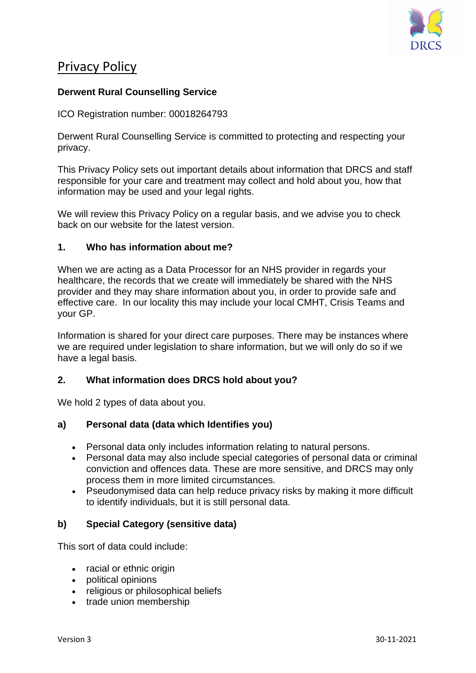

# Privacy Policy

# **Derwent Rural Counselling Service**

ICO Registration number: 00018264793

Derwent Rural Counselling Service is committed to protecting and respecting your privacy.

This Privacy Policy sets out important details about information that DRCS and staff responsible for your care and treatment may collect and hold about you, how that information may be used and your legal rights.

We will review this Privacy Policy on a regular basis, and we advise you to check back on our website for the latest version.

# **1. Who has information about me?**

When we are acting as a Data Processor for an NHS provider in regards your healthcare, the records that we create will immediately be shared with the NHS provider and they may share information about you, in order to provide safe and effective care. In our locality this may include your local CMHT, Crisis Teams and your GP.

Information is shared for your direct care purposes. There may be instances where we are required under legislation to share information, but we will only do so if we have a legal basis.

### **2. What information does DRCS hold about you?**

We hold 2 types of data about you.

### **a) Personal data (data which Identifies you)**

- Personal data only includes information relating to natural persons.
- Personal data may also include special categories of personal data or criminal conviction and offences data. These are more sensitive, and DRCS may only process them in more limited circumstances.
- Pseudonymised data can help reduce privacy risks by making it more difficult to identify individuals, but it is still personal data.

### **b) Special Category (sensitive data)**

This sort of data could include:

- racial or ethnic origin
- political opinions
- religious or philosophical beliefs
- trade union membership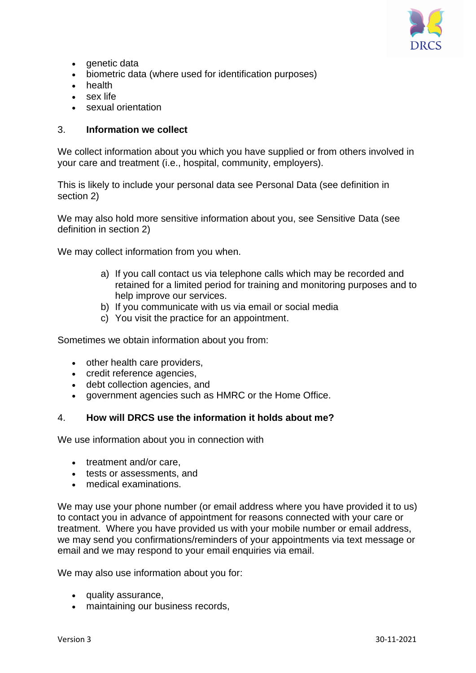

- genetic data
- biometric data (where used for identification purposes)
- health
- sex life
- sexual orientation

### 3. **Information we collect**

We collect information about you which you have supplied or from others involved in your care and treatment (i.e., hospital, community, employers).

This is likely to include your personal data see Personal Data (see definition in section 2)

We may also hold more sensitive information about you, see Sensitive Data (see definition in section 2)

We may collect information from you when.

- a) If you call contact us via telephone calls which may be recorded and retained for a limited period for training and monitoring purposes and to help improve our services.
- b) If you communicate with us via email or social media
- c) You visit the practice for an appointment.

Sometimes we obtain information about you from:

- other health care providers,
- credit reference agencies,
- debt collection agencies, and
- government agencies such as HMRC or the Home Office.

### 4. **How will DRCS use the information it holds about me?**

We use information about you in connection with

- treatment and/or care,
- tests or assessments, and
- medical examinations.

We may use your phone number (or email address where you have provided it to us) to contact you in advance of appointment for reasons connected with your care or treatment. Where you have provided us with your mobile number or email address, we may send you confirmations/reminders of your appointments via text message or email and we may respond to your email enquiries via email.

We may also use information about you for:

- quality assurance,
- maintaining our business records,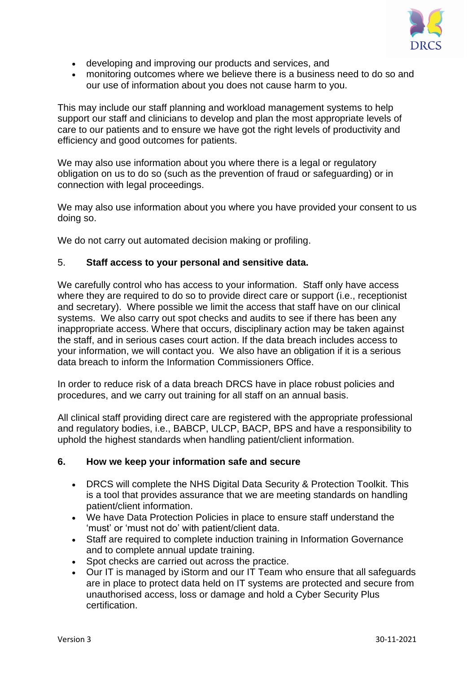

- developing and improving our products and services, and
- monitoring outcomes where we believe there is a business need to do so and our use of information about you does not cause harm to you.

This may include our staff planning and workload management systems to help support our staff and clinicians to develop and plan the most appropriate levels of care to our patients and to ensure we have got the right levels of productivity and efficiency and good outcomes for patients.

We may also use information about you where there is a legal or regulatory obligation on us to do so (such as the prevention of fraud or safeguarding) or in connection with legal proceedings.

We may also use information about you where you have provided your consent to us doing so.

We do not carry out automated decision making or profiling.

### 5. **Staff access to your personal and sensitive data.**

We carefully control who has access to your information. Staff only have access where they are required to do so to provide direct care or support (i.e., receptionist and secretary). Where possible we limit the access that staff have on our clinical systems. We also carry out spot checks and audits to see if there has been any inappropriate access. Where that occurs, disciplinary action may be taken against the staff, and in serious cases court action. If the data breach includes access to your information, we will contact you. We also have an obligation if it is a serious data breach to inform the Information Commissioners Office.

In order to reduce risk of a data breach DRCS have in place robust policies and procedures, and we carry out training for all staff on an annual basis.

All clinical staff providing direct care are registered with the appropriate professional and regulatory bodies, i.e., BABCP, ULCP, BACP, BPS and have a responsibility to uphold the highest standards when handling patient/client information.

#### **6. How we keep your information safe and secure**

- DRCS will complete the NHS Digital Data Security & Protection Toolkit. This is a tool that provides assurance that we are meeting standards on handling patient/client information.
- We have Data Protection Policies in place to ensure staff understand the 'must' or 'must not do' with patient/client data.
- Staff are required to complete induction training in Information Governance and to complete annual update training.
- Spot checks are carried out across the practice.
- Our IT is managed by iStorm and our IT Team who ensure that all safeguards are in place to protect data held on IT systems are protected and secure from unauthorised access, loss or damage and hold a Cyber Security Plus certification.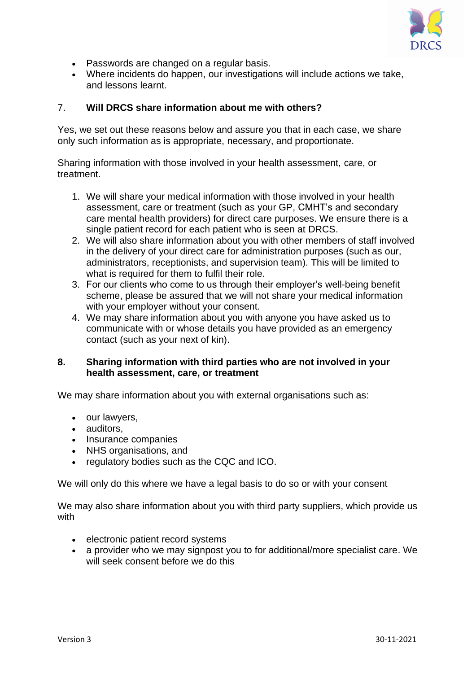

- Passwords are changed on a regular basis.
- Where incidents do happen, our investigations will include actions we take, and lessons learnt.

#### 7. **Will DRCS share information about me with others?**

Yes, we set out these reasons below and assure you that in each case, we share only such information as is appropriate, necessary, and proportionate.

Sharing information with those involved in your health assessment, care, or treatment.

- 1. We will share your medical information with those involved in your health assessment, care or treatment (such as your GP, CMHT's and secondary care mental health providers) for direct care purposes. We ensure there is a single patient record for each patient who is seen at DRCS.
- 2. We will also share information about you with other members of staff involved in the delivery of your direct care for administration purposes (such as our, administrators, receptionists, and supervision team). This will be limited to what is required for them to fulfil their role.
- 3. For our clients who come to us through their employer's well-being benefit scheme, please be assured that we will not share your medical information with your employer without your consent.
- 4. We may share information about you with anyone you have asked us to communicate with or whose details you have provided as an emergency contact (such as your next of kin).

#### **8. Sharing information with third parties who are not involved in your health assessment, care, or treatment**

We may share information about you with external organisations such as:

- our lawyers,
- auditors,
- Insurance companies
- NHS organisations, and
- regulatory bodies such as the CQC and ICO.

We will only do this where we have a legal basis to do so or with your consent

We may also share information about you with third party suppliers, which provide us with

- electronic patient record systems
- a provider who we may signpost you to for additional/more specialist care. We will seek consent before we do this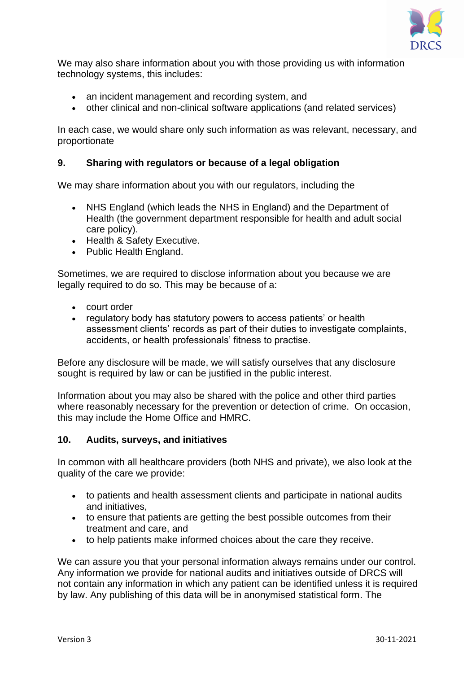

We may also share information about you with those providing us with information technology systems, this includes:

- an incident management and recording system, and
- other clinical and non-clinical software applications (and related services)

In each case, we would share only such information as was relevant, necessary, and proportionate

# **9. Sharing with regulators or because of a legal obligation**

We may share information about you with our regulators, including the

- NHS England (which leads the NHS in England) and the Department of Health (the government department responsible for health and adult social care policy).
- Health & Safety Executive.
- Public Health England.

Sometimes, we are required to disclose information about you because we are legally required to do so. This may be because of a:

- court order
- regulatory body has statutory powers to access patients' or health assessment clients' records as part of their duties to investigate complaints, accidents, or health professionals' fitness to practise.

Before any disclosure will be made, we will satisfy ourselves that any disclosure sought is required by law or can be justified in the public interest.

Information about you may also be shared with the police and other third parties where reasonably necessary for the prevention or detection of crime. On occasion, this may include the Home Office and HMRC.

#### **10. Audits, surveys, and initiatives**

In common with all healthcare providers (both NHS and private), we also look at the quality of the care we provide:

- to patients and health assessment clients and participate in national audits and initiatives,
- to ensure that patients are getting the best possible outcomes from their treatment and care, and
- to help patients make informed choices about the care they receive.

We can assure you that your personal information always remains under our control. Any information we provide for national audits and initiatives outside of DRCS will not contain any information in which any patient can be identified unless it is required by law. Any publishing of this data will be in anonymised statistical form. The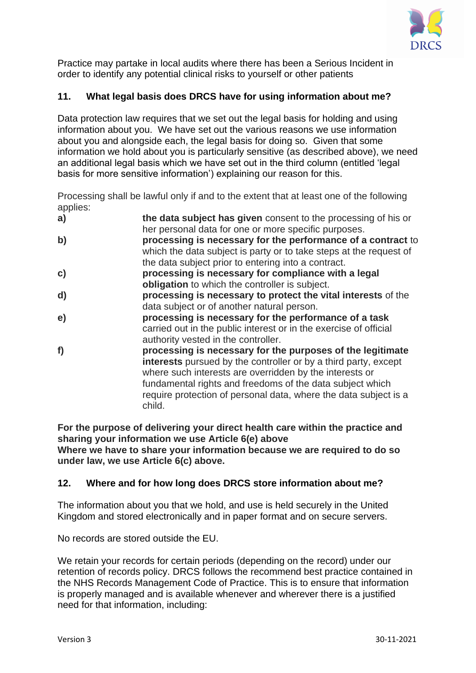

Practice may partake in local audits where there has been a Serious Incident in order to identify any potential clinical risks to yourself or other patients

# **11. What legal basis does DRCS have for using information about me?**

Data protection law requires that we set out the legal basis for holding and using information about you. We have set out the various reasons we use information about you and alongside each, the legal basis for doing so. Given that some information we hold about you is particularly sensitive (as described above), we need an additional legal basis which we have set out in the third column (entitled 'legal basis for more sensitive information') explaining our reason for this.

Processing shall be lawful only if and to the extent that at least one of the following applies:

| her personal data for one or more specific purposes.<br>b)<br>processing is necessary for the performance of a contract to |  |
|----------------------------------------------------------------------------------------------------------------------------|--|
|                                                                                                                            |  |
|                                                                                                                            |  |
| which the data subject is party or to take steps at the request of                                                         |  |
| the data subject prior to entering into a contract.                                                                        |  |
| processing is necessary for compliance with a legal<br>c)                                                                  |  |
| obligation to which the controller is subject.                                                                             |  |
| processing is necessary to protect the vital interests of the<br>d)                                                        |  |
| data subject or of another natural person.                                                                                 |  |
| processing is necessary for the performance of a task<br>e)                                                                |  |
| carried out in the public interest or in the exercise of official                                                          |  |
| authority vested in the controller.                                                                                        |  |
| f)<br>processing is necessary for the purposes of the legitimate                                                           |  |
| interests pursued by the controller or by a third party, except                                                            |  |
| where such interests are overridden by the interests or                                                                    |  |
| fundamental rights and freedoms of the data subject which                                                                  |  |
| require protection of personal data, where the data subject is a                                                           |  |
| child.                                                                                                                     |  |

**For the purpose of delivering your direct health care within the practice and sharing your information we use Article 6(e) above Where we have to share your information because we are required to do so under law, we use Article 6(c) above.**

### **12. Where and for how long does DRCS store information about me?**

The information about you that we hold, and use is held securely in the United Kingdom and stored electronically and in paper format and on secure servers.

No records are stored outside the EU.

We retain your records for certain periods (depending on the record) under our retention of records policy. DRCS follows the recommend best practice contained in the NHS Records Management Code of Practice. This is to ensure that information is properly managed and is available whenever and wherever there is a justified need for that information, including: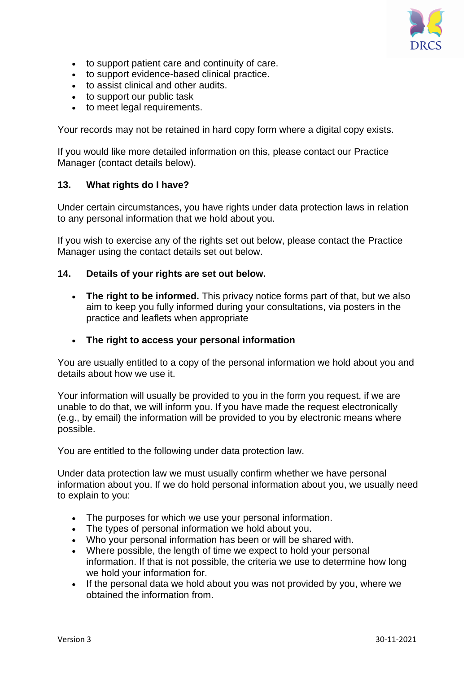

- to support patient care and continuity of care.
- to support evidence-based clinical practice.
- to assist clinical and other audits.
- to support our public task
- to meet legal requirements.

Your records may not be retained in hard copy form where a digital copy exists.

If you would like more detailed information on this, please contact our Practice Manager (contact details below).

#### **13. What rights do I have?**

Under certain circumstances, you have rights under data protection laws in relation to any personal information that we hold about you.

If you wish to exercise any of the rights set out below, please contact the Practice Manager using the contact details set out below.

#### **14. Details of your rights are set out below.**

• **The right to be informed.** This privacy notice forms part of that, but we also aim to keep you fully informed during your consultations, via posters in the practice and leaflets when appropriate

#### • **The right to access your personal information**

You are usually entitled to a copy of the personal information we hold about you and details about how we use it.

Your information will usually be provided to you in the form you request, if we are unable to do that, we will inform you. If you have made the request electronically (e.g., by email) the information will be provided to you by electronic means where possible.

You are entitled to the following under data protection law.

Under data protection law we must usually confirm whether we have personal information about you. If we do hold personal information about you, we usually need to explain to you:

- The purposes for which we use your personal information.
- The types of personal information we hold about you.
- Who your personal information has been or will be shared with.
- Where possible, the length of time we expect to hold your personal information. If that is not possible, the criteria we use to determine how long we hold your information for.
- If the personal data we hold about you was not provided by you, where we obtained the information from.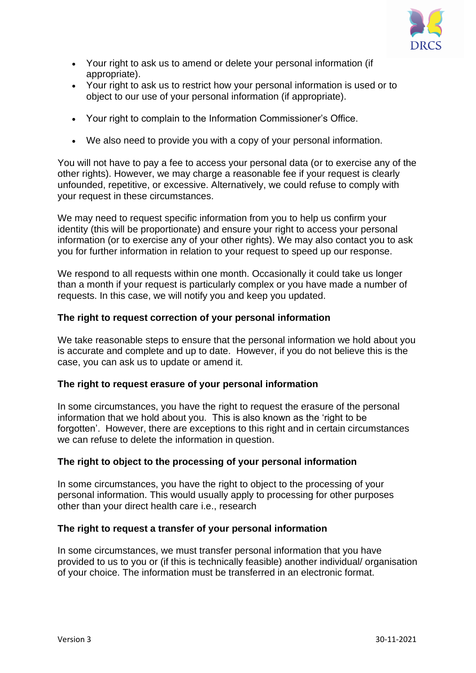

- Your right to ask us to amend or delete your personal information (if appropriate).
- Your right to ask us to restrict how your personal information is used or to object to our use of your personal information (if appropriate).
- Your right to complain to the Information Commissioner's Office.
- We also need to provide you with a copy of your personal information.

You will not have to pay a fee to access your personal data (or to exercise any of the other rights). However, we may charge a reasonable fee if your request is clearly unfounded, repetitive, or excessive. Alternatively, we could refuse to comply with your request in these circumstances.

We may need to request specific information from you to help us confirm your identity (this will be proportionate) and ensure your right to access your personal information (or to exercise any of your other rights). We may also contact you to ask you for further information in relation to your request to speed up our response.

We respond to all requests within one month. Occasionally it could take us longer than a month if your request is particularly complex or you have made a number of requests. In this case, we will notify you and keep you updated.

# **The right to request correction of your personal information**

We take reasonable steps to ensure that the personal information we hold about you is accurate and complete and up to date. However, if you do not believe this is the case, you can ask us to update or amend it.

# **The right to request erasure of your personal information**

In some circumstances, you have the right to request the erasure of the personal information that we hold about you. This is also known as the 'right to be forgotten'. However, there are exceptions to this right and in certain circumstances we can refuse to delete the information in question.

# **The right to object to the processing of your personal information**

In some circumstances, you have the right to object to the processing of your personal information. This would usually apply to processing for other purposes other than your direct health care i.e., research

# **The right to request a transfer of your personal information**

In some circumstances, we must transfer personal information that you have provided to us to you or (if this is technically feasible) another individual/ organisation of your choice. The information must be transferred in an electronic format.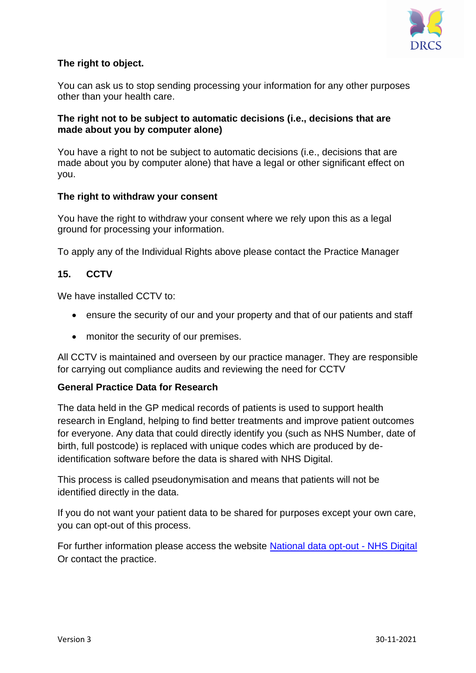

# **The right to object.**

You can ask us to stop sending processing your information for any other purposes other than your health care.

### **The right not to be subject to automatic decisions (i.e., decisions that are made about you by computer alone)**

You have a right to not be subject to automatic decisions (i.e., decisions that are made about you by computer alone) that have a legal or other significant effect on you.

# **The right to withdraw your consent**

You have the right to withdraw your consent where we rely upon this as a legal ground for processing your information.

To apply any of the Individual Rights above please contact the Practice Manager

# **15. CCTV**

We have installed CCTV to:

- ensure the security of our and your property and that of our patients and staff
- monitor the security of our premises.

All CCTV is maintained and overseen by our practice manager. They are responsible for carrying out compliance audits and reviewing the need for CCTV

### **General Practice Data for Research**

The data held in the GP medical records of patients is used to support health research in England, helping to find better treatments and improve patient outcomes for everyone. Any data that could directly identify you (such as NHS Number, date of birth, full postcode) is replaced with unique codes which are produced by deidentification software before the data is shared with NHS Digital.

This process is called pseudonymisation and means that patients will not be identified directly in the data.

If you do not want your patient data to be shared for purposes except your own care, you can opt-out of this process.

For further information please access the website [National data opt-out -](https://digital.nhs.uk/services/national-data-opt-out) NHS Digital Or contact the practice.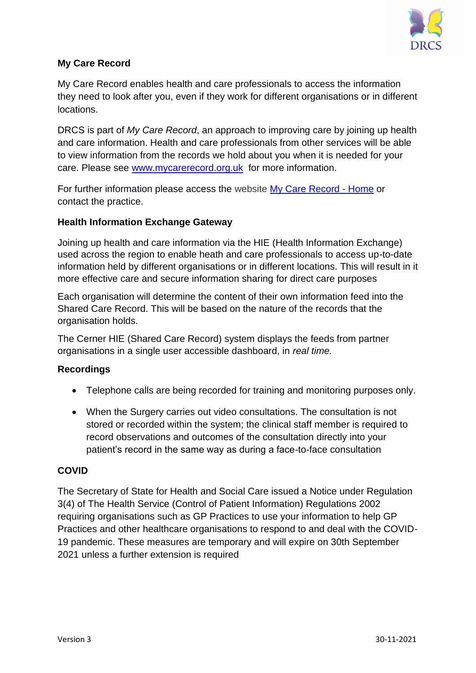

# **My Care Record**

My Care Record enables health and care professionals to access the information they need to look after you, even if they work for different organisations or in different locations.

DRCS is part of *My Care Record*, an approach to improving care by joining up health and care information. Health and care professionals from other services will be able to view information from the records we hold about you when it is needed for your care. Please see [www.mycarerecord.org.uk](http://www.mycarerecord.org.uk/) for more information.

For further information please access the website [My Care Record -](https://www.mycarerecord.org.uk/) Home or contact the practice.

# **Health Information Exchange Gateway**

Joining up health and care information via the HIE (Health Information Exchange) used across the region to enable heath and care professionals to access up-to-date information held by different organisations or in different locations. This will result in it more effective care and secure information sharing for direct care purposes

Each organisation will determine the content of their own information feed into the Shared Care Record. This will be based on the nature of the records that the organisation holds.

The Cerner HIE (Shared Care Record) system displays the feeds from partner organisations in a single user accessible dashboard, in *real time.*

### **Recordings**

- Telephone calls are being recorded for training and monitoring purposes only.
- When the Surgery carries out video consultations. The consultation is not stored or recorded within the system; the clinical staff member is required to record observations and outcomes of the consultation directly into your patient's record in the same way as during a face-to-face consultation

### **COVID**

The Secretary of State for Health and Social Care issued a Notice under Regulation 3(4) of The Health Service (Control of Patient Information) Regulations 2002 requiring organisations such as GP Practices to use your information to help GP Practices and other healthcare organisations to respond to and deal with the COVID-19 pandemic. These measures are temporary and will expire on 30th September 2021 unless a further extension is required